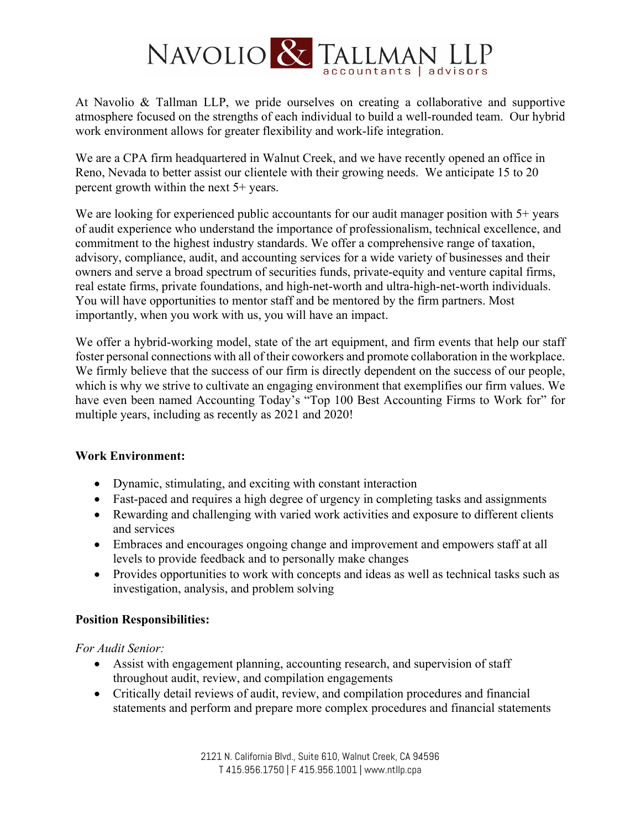# NAVOLIO & TALLMAN I

At Navolio & Tallman LLP, we pride ourselves on creating a collaborative and supportive atmosphere focused on the strengths of each individual to build a well-rounded team. Our hybrid work environment allows for greater flexibility and work-life integration.

We are a CPA firm headquartered in Walnut Creek, and we have recently opened an office in Reno, Nevada to better assist our clientele with their growing needs. We anticipate 15 to 20 percent growth within the next 5+ years.

We are looking for experienced public accountants for our audit manager position with 5+ years of audit experience who understand the importance of professionalism, technical excellence, and commitment to the highest industry standards. We offer a comprehensive range of taxation, advisory, compliance, audit, and accounting services for a wide variety of businesses and their owners and serve a broad spectrum of securities funds, private-equity and venture capital firms, real estate firms, private foundations, and high-net-worth and ultra-high-net-worth individuals. You will have opportunities to mentor staff and be mentored by the firm partners. Most importantly, when you work with us, you will have an impact.

We offer a hybrid-working model, state of the art equipment, and firm events that help our staff foster personal connections with all of their coworkers and promote collaboration in the workplace. We firmly believe that the success of our firm is directly dependent on the success of our people, which is why we strive to cultivate an engaging environment that exemplifies our firm values. We have even been named Accounting Today's "Top 100 Best Accounting Firms to Work for" for multiple years, including as recently as 2021 and 2020!

### **Work Environment:**

- Dynamic, stimulating, and exciting with constant interaction
- Fast-paced and requires a high degree of urgency in completing tasks and assignments
- Rewarding and challenging with varied work activities and exposure to different clients and services
- Embraces and encourages ongoing change and improvement and empowers staff at all levels to provide feedback and to personally make changes
- Provides opportunities to work with concepts and ideas as well as technical tasks such as investigation, analysis, and problem solving

### **Position Responsibilities:**

*For Audit Senior:* 

- Assist with engagement planning, accounting research, and supervision of staff throughout audit, review, and compilation engagements
- Critically detail reviews of audit, review, and compilation procedures and financial statements and perform and prepare more complex procedures and financial statements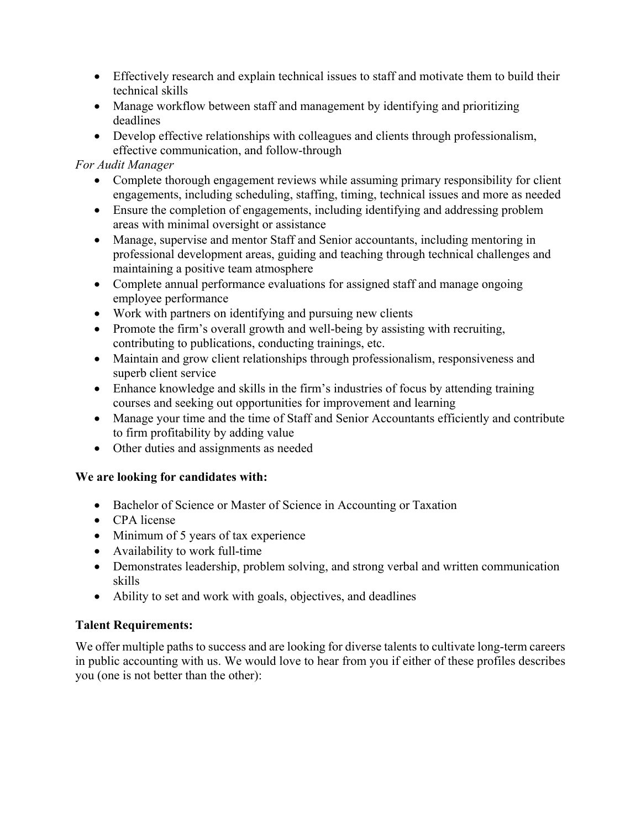- Effectively research and explain technical issues to staff and motivate them to build their technical skills
- Manage workflow between staff and management by identifying and prioritizing deadlines
- Develop effective relationships with colleagues and clients through professionalism, effective communication, and follow-through

## *For Audit Manager*

- Complete thorough engagement reviews while assuming primary responsibility for client engagements, including scheduling, staffing, timing, technical issues and more as needed
- Ensure the completion of engagements, including identifying and addressing problem areas with minimal oversight or assistance
- Manage, supervise and mentor Staff and Senior accountants, including mentoring in professional development areas, guiding and teaching through technical challenges and maintaining a positive team atmosphere
- Complete annual performance evaluations for assigned staff and manage ongoing employee performance
- Work with partners on identifying and pursuing new clients
- Promote the firm's overall growth and well-being by assisting with recruiting, contributing to publications, conducting trainings, etc.
- Maintain and grow client relationships through professionalism, responsiveness and superb client service
- Enhance knowledge and skills in the firm's industries of focus by attending training courses and seeking out opportunities for improvement and learning
- Manage your time and the time of Staff and Senior Accountants efficiently and contribute to firm profitability by adding value
- Other duties and assignments as needed

# **We are looking for candidates with:**

- Bachelor of Science or Master of Science in Accounting or Taxation
- CPA license
- Minimum of 5 years of tax experience
- Availability to work full-time
- Demonstrates leadership, problem solving, and strong verbal and written communication skills
- Ability to set and work with goals, objectives, and deadlines

# **Talent Requirements:**

We offer multiple paths to success and are looking for diverse talents to cultivate long-term careers in public accounting with us. We would love to hear from you if either of these profiles describes you (one is not better than the other):